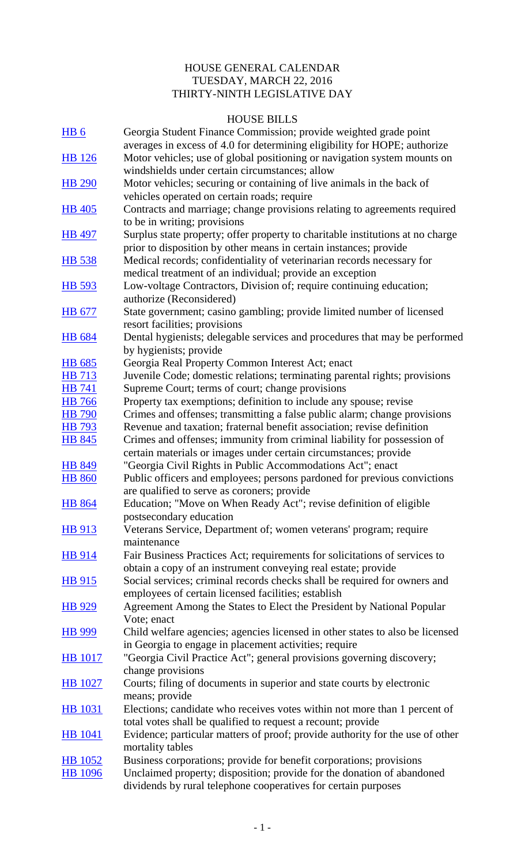## HOUSE GENERAL CALENDAR TUESDAY, MARCH 22, 2016 THIRTY-NINTH LEGISLATIVE DAY

## HOUSE BILLS

|                 | HUUSE BILLS                                                                                                                                 |
|-----------------|---------------------------------------------------------------------------------------------------------------------------------------------|
| HB <sub>6</sub> | Georgia Student Finance Commission; provide weighted grade point                                                                            |
|                 | averages in excess of 4.0 for determining eligibility for HOPE; authorize                                                                   |
| HB 126          | Motor vehicles; use of global positioning or navigation system mounts on                                                                    |
|                 | windshields under certain circumstances; allow                                                                                              |
| <b>HB 290</b>   | Motor vehicles; securing or containing of live animals in the back of                                                                       |
|                 | vehicles operated on certain roads; require                                                                                                 |
| <b>HB</b> 405   | Contracts and marriage; change provisions relating to agreements required                                                                   |
|                 | to be in writing; provisions                                                                                                                |
| HB 497          | Surplus state property; offer property to charitable institutions at no charge                                                              |
|                 | prior to disposition by other means in certain instances; provide                                                                           |
| <b>HB</b> 538   | Medical records; confidentiality of veterinarian records necessary for                                                                      |
|                 | medical treatment of an individual; provide an exception                                                                                    |
| HB 593          | Low-voltage Contractors, Division of; require continuing education;                                                                         |
|                 | authorize (Reconsidered)                                                                                                                    |
| HB 677          | State government; casino gambling; provide limited number of licensed                                                                       |
|                 | resort facilities; provisions                                                                                                               |
| <b>HB</b> 684   | Dental hygienists; delegable services and procedures that may be performed                                                                  |
|                 | by hygienists; provide                                                                                                                      |
| <b>HB</b> 685   | Georgia Real Property Common Interest Act; enact                                                                                            |
| HB 713          | Juvenile Code; domestic relations; terminating parental rights; provisions                                                                  |
| <b>HB</b> 741   | Supreme Court; terms of court; change provisions                                                                                            |
| <b>HB</b> 766   | Property tax exemptions; definition to include any spouse; revise                                                                           |
| <b>HB</b> 790   | Crimes and offenses; transmitting a false public alarm; change provisions                                                                   |
| HB 793          | Revenue and taxation; fraternal benefit association; revise definition                                                                      |
| HB 845          | Crimes and offenses; immunity from criminal liability for possession of                                                                     |
|                 | certain materials or images under certain circumstances; provide                                                                            |
| <b>HB 849</b>   | "Georgia Civil Rights in Public Accommodations Act"; enact                                                                                  |
| <b>HB 860</b>   | Public officers and employees; persons pardoned for previous convictions                                                                    |
|                 | are qualified to serve as coroners; provide                                                                                                 |
| <b>HB 864</b>   | Education; "Move on When Ready Act"; revise definition of eligible                                                                          |
|                 | postsecondary education                                                                                                                     |
| HB 913          | Veterans Service, Department of; women veterans' program; require<br>maintenance                                                            |
|                 |                                                                                                                                             |
| <b>HB</b> 914   | Fair Business Practices Act; requirements for solicitations of services to<br>obtain a copy of an instrument conveying real estate; provide |
|                 | Social services; criminal records checks shall be required for owners and                                                                   |
| HB 915          |                                                                                                                                             |
|                 | employees of certain licensed facilities; establish<br>Agreement Among the States to Elect the President by National Popular                |
| HB 929          | Vote; enact                                                                                                                                 |
| <b>HB</b> 999   | Child welfare agencies; agencies licensed in other states to also be licensed                                                               |
|                 | in Georgia to engage in placement activities; require                                                                                       |
| <b>HB</b> 1017  | "Georgia Civil Practice Act"; general provisions governing discovery;                                                                       |
|                 | change provisions                                                                                                                           |
| <b>HB</b> 1027  | Courts; filing of documents in superior and state courts by electronic                                                                      |
|                 | means; provide                                                                                                                              |
| HB 1031         | Elections; candidate who receives votes within not more than 1 percent of                                                                   |
|                 | total votes shall be qualified to request a recount; provide                                                                                |
| <b>HB</b> 1041  | Evidence; particular matters of proof; provide authority for the use of other                                                               |
|                 | mortality tables                                                                                                                            |
| <b>HB</b> 1052  | Business corporations; provide for benefit corporations; provisions                                                                         |
| HB 1096         | Unclaimed property; disposition; provide for the donation of abandoned                                                                      |
|                 | dividends by rural telephone cooperatives for certain purposes                                                                              |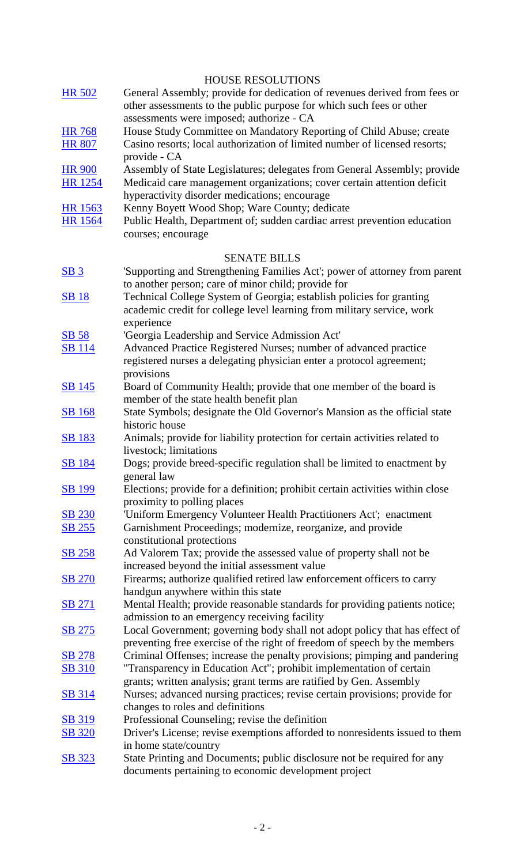|                 | <b>HOUSE RESOLUTIONS</b>                                                      |
|-----------------|-------------------------------------------------------------------------------|
| <b>HR 502</b>   | General Assembly; provide for dedication of revenues derived from fees or     |
|                 | other assessments to the public purpose for which such fees or other          |
|                 | assessments were imposed; authorize - CA                                      |
| <b>HR 768</b>   | House Study Committee on Mandatory Reporting of Child Abuse; create           |
| <b>HR 807</b>   | Casino resorts; local authorization of limited number of licensed resorts;    |
|                 | provide - CA                                                                  |
| <b>HR 900</b>   | Assembly of State Legislatures; delegates from General Assembly; provide      |
| HR 1254         | Medicaid care management organizations; cover certain attention deficit       |
|                 | hyperactivity disorder medications; encourage                                 |
| HR 1563         | Kenny Boyett Wood Shop; Ware County; dedicate                                 |
| <b>HR</b> 1564  | Public Health, Department of; sudden cardiac arrest prevention education      |
|                 | courses; encourage                                                            |
|                 |                                                                               |
|                 | <b>SENATE BILLS</b>                                                           |
| SB <sub>3</sub> | 'Supporting and Strengthening Families Act'; power of attorney from parent    |
|                 | to another person; care of minor child; provide for                           |
| <b>SB18</b>     | Technical College System of Georgia; establish policies for granting          |
|                 | academic credit for college level learning from military service, work        |
|                 | experience                                                                    |
| <b>SB 58</b>    | 'Georgia Leadership and Service Admission Act'                                |
| <b>SB</b> 114   | Advanced Practice Registered Nurses; number of advanced practice              |
|                 | registered nurses a delegating physician enter a protocol agreement;          |
|                 | provisions                                                                    |
| <b>SB</b> 145   | Board of Community Health; provide that one member of the board is            |
|                 | member of the state health benefit plan                                       |
| <b>SB</b> 168   | State Symbols; designate the Old Governor's Mansion as the official state     |
|                 | historic house                                                                |
| <b>SB</b> 183   | Animals; provide for liability protection for certain activities related to   |
|                 | livestock; limitations                                                        |
| <b>SB 184</b>   | Dogs; provide breed-specific regulation shall be limited to enactment by      |
|                 | general law                                                                   |
| <b>SB</b> 199   | Elections; provide for a definition; prohibit certain activities within close |
|                 | proximity to polling places                                                   |
| <b>SB 230</b>   | 'Uniform Emergency Volunteer Health Practitioners Act'; enactment             |
| <u>SB 255</u>   | Garnishment Proceedings; modernize, reorganize, and provide                   |
|                 | constitutional protections                                                    |
| <b>SB 258</b>   | Ad Valorem Tax; provide the assessed value of property shall not be           |
|                 | increased beyond the initial assessment value                                 |
| <b>SB 270</b>   | Firearms; authorize qualified retired law enforcement officers to carry       |
|                 | handgun anywhere within this state                                            |
| <b>SB 271</b>   | Mental Health; provide reasonable standards for providing patients notice;    |
|                 | admission to an emergency receiving facility                                  |
| SB 275          | Local Government; governing body shall not adopt policy that has effect of    |
|                 | preventing free exercise of the right of freedom of speech by the members     |
| <b>SB 278</b>   | Criminal Offenses; increase the penalty provisions; pimping and pandering     |
| <b>SB 310</b>   | "Transparency in Education Act"; prohibit implementation of certain           |
|                 | grants; written analysis; grant terms are ratified by Gen. Assembly           |
| <b>SB</b> 314   | Nurses; advanced nursing practices; revise certain provisions; provide for    |
|                 | changes to roles and definitions                                              |
| <b>SB 319</b>   | Professional Counseling; revise the definition                                |
| <b>SB</b> 320   | Driver's License; revise exemptions afforded to nonresidents issued to them   |
|                 | in home state/country                                                         |
| SB 323          | State Printing and Documents; public disclosure not be required for any       |
|                 | documents pertaining to economic development project                          |